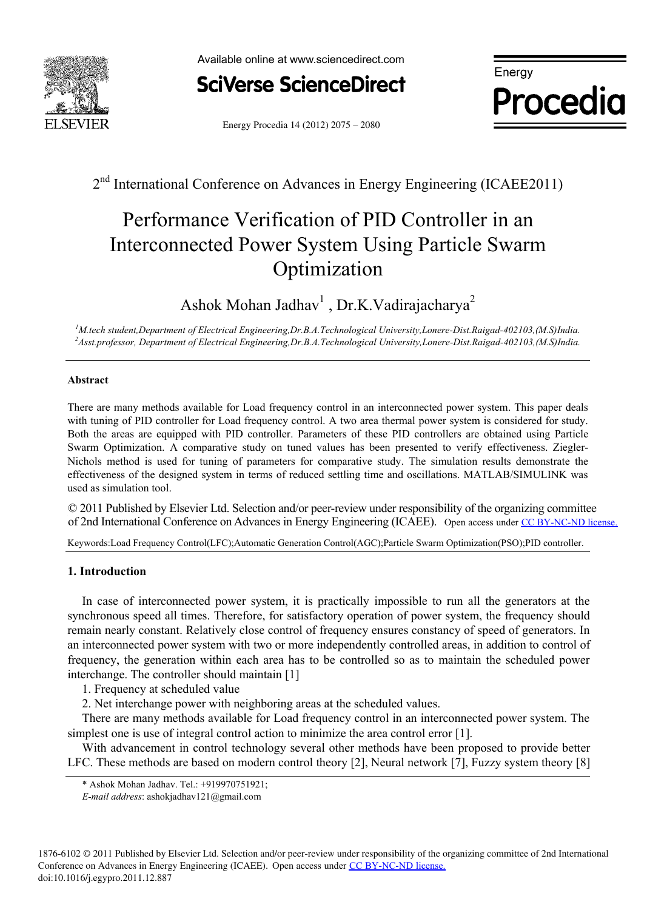

Available online at www.sciencedirect.com Available online at www.sciencedirect.com



**Energy Procedia**

Energy Procedia 14 (2012) 2075 - 2080

2<sup>nd</sup> International Conference on Advances in Energy Engineering (ICAEE2011)

# Performance Verification of PID Controller in an Interconnected Power System Using Particle Swarm Optimization

Ashok Mohan Jadhav<sup>1</sup>, Dr.K.Vadirajacharya<sup>2</sup>

<sup>1</sup>M.tech student,Department of Electrical Engineering,Dr.B.A.Technological University,Lonere-Dist.Raigad-402103,(M.S)India.<br><sup>2</sup> Asst professor, Department of Electrical Engineering Dr.B.A.Technological University Longre, *Asst.professor, Department of Electrical Engineering,Dr.B.A.Technological University,Lonere-Dist.Raigad-402103,(M.S)India.* 

#### **Abstract**

There are many methods available for Load frequency control in an interconnected power system. This paper deals with tuning of PID controller for Load frequency control. A two area thermal power system is considered for study. Both the areas are equipped with PID controller. Parameters of these PID controllers are obtained using Particle Swarm Optimization. A comparative study on tuned values has been presented to verify effectiveness. Ziegler-Nichols method is used for tuning of parameters for comparative study. The simulation results demonstrate the effectiveness of the designed system in terms of reduced settling time and oscillations. MATLAB/SIMULINK was used as simulation tool.

O 2011 Fublished by Elsevier Etd. Selection and/or peer-review under responsibility of the organizing commuted<br>of 2nd International Conference on Advances in Energy Engineering (ICAEE). Open access under CC BY-NC-ND licens © 2011 Published by Elsevier Ltd. Selection and/or peer-review under responsibility of the organizing committee

Keywords:Load Frequency Control(LFC);Automatic Generation Control(AGC);Particle Swarm Optimization(PSO);PID controller.

### **1. Introduction**

In case of interconnected power system, it is practically impossible to run all the generators at the synchronous speed all times. Therefore, for satisfactory operation of power system, the frequency should remain nearly constant. Relatively close control of frequency ensures constancy of speed of generators. In an interconnected power system with two or more independently controlled areas, in addition to control of frequency, the generation within each area has to be controlled so as to maintain the scheduled power interchange. The controller should maintain [1]

1. Frequency at scheduled value

2. Net interchange power with neighboring areas at the scheduled values.

There are many methods available for Load frequency control in an interconnected power system. The simplest one is use of integral control action to minimize the area control error [1].

With advancement in control technology several other methods have been proposed to provide better LFC. These methods are based on modern control theory [2], Neural network [7], Fuzzy system theory [8]

<sup>\*</sup> Ashok Mohan Jadhav. Tel.: +919970751921;

*E-mail address*: ashokjadhav121@gmail.com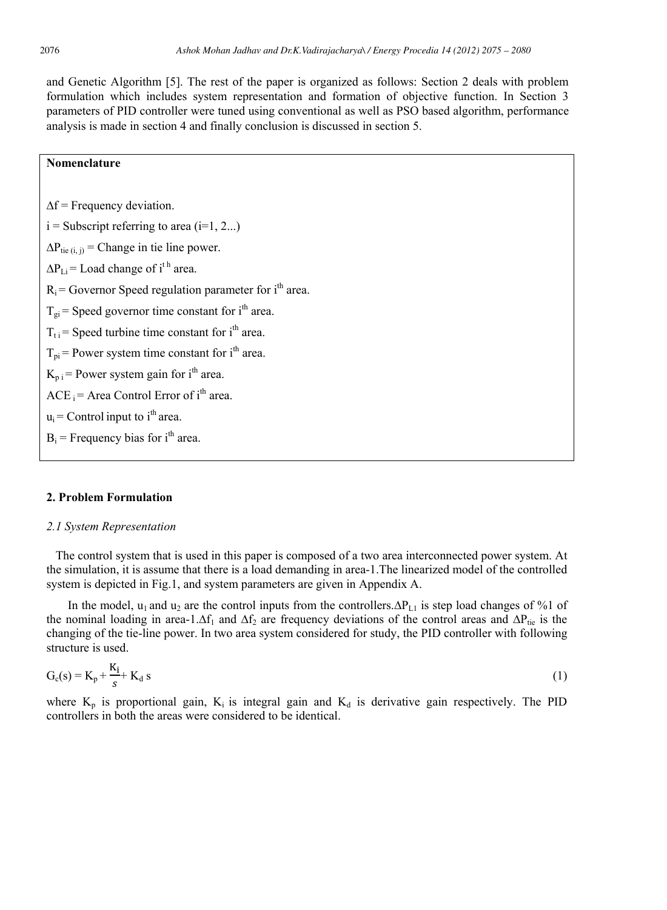and Genetic Algorithm [5]. The rest of the paper is organized as follows: Section 2 deals with problem formulation which includes system representation and formation of objective function. In Section 3 parameters of PID controller were tuned using conventional as well as PSO based algorithm, performance analysis is made in section 4 and finally conclusion is discussed in section 5.

#### **Nomenclature**

 $\Delta f$  = Frequency deviation.  $i =$  Subscript referring to area ( $i=1, 2...$ )  $\Delta P_{\text{tie (i, i)}}$  = Change in tie line power.  $\Delta P_{\text{Li}} =$  Load change of i<sup>th</sup> area.  $R_i$  = Governor Speed regulation parameter for  $i<sup>th</sup>$  area.  $T_{gi}$  = Speed governor time constant for i<sup>th</sup> area.  $T_{\text{t}}$  = Speed turbine time constant for i<sup>th</sup> area.  $T_{\text{pi}}$  = Power system time constant for i<sup>th</sup> area.  $K_{p,i}$  = Power system gain for i<sup>th</sup> area.  $ACE_i = Area Control Error of i<sup>th</sup> area.$  $u_i$  = Control input to i<sup>th</sup> area.  $B_i$  = Frequency bias for i<sup>th</sup> area.

#### **2. Problem Formulation**

#### *2.1 System Representation*

 The control system that is used in this paper is composed of a two area interconnected power system. At the simulation, it is assume that there is a load demanding in area-1.The linearized model of the controlled system is depicted in Fig.1, and system parameters are given in Appendix A.

In the model, u<sub>1</sub> and u<sub>2</sub> are the control inputs from the controllers. $\Delta P_{L1}$  is step load changes of %1 of the nominal loading in area-1.∆f<sub>1</sub> and  $\Delta f_2$  are frequency deviations of the control areas and  $\Delta P_{\text{tie}}$  is the changing of the tie-line power. In two area system considered for study, the PID controller with following structure is used.

$$
G_c(s) = K_p + \frac{K_i}{s} + K_d s \tag{1}
$$

where  $K_p$  is proportional gain,  $K_i$  is integral gain and  $K_d$  is derivative gain respectively. The PID controllers in both the areas were considered to be identical.